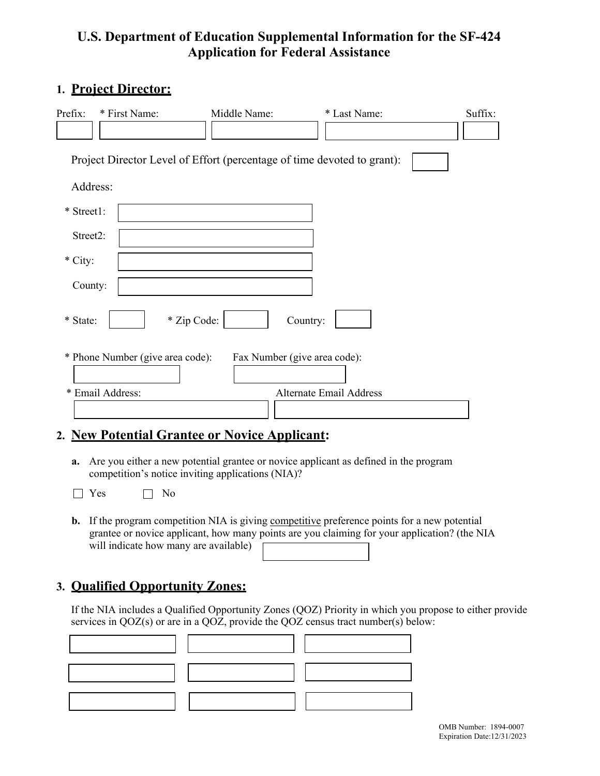# **U.S. Department of Education Supplemental Information for the SF-424 Application for Federal Assistance**

### **1. Project Director:**

| Prefix:                                                                 | * First Name: | Middle Name: | * Last Name: | Suffix: |
|-------------------------------------------------------------------------|---------------|--------------|--------------|---------|
|                                                                         |               |              |              |         |
| Project Director Level of Effort (percentage of time devoted to grant): |               |              |              |         |
| Address:                                                                |               |              |              |         |
| * Street1:                                                              |               |              |              |         |
| Street2:                                                                |               |              |              |         |
| * City:                                                                 |               |              |              |         |
| County:                                                                 |               |              |              |         |
| * Zip Code:<br>Country:<br>* State:                                     |               |              |              |         |
| * Phone Number (give area code):<br>Fax Number (give area code):        |               |              |              |         |
| * Email Address:<br>Alternate Email Address                             |               |              |              |         |
|                                                                         |               |              |              |         |

### **2. New Potential Grantee or Novice Applicant:**

- **a.** Are you either a new potential grantee or novice applicant as defined in the program competition's notice inviting applications (NIA)?
- $\Box$  Yes  $\Box$  No
- **b.** If the program competition NIA is giving competitive preference points for a new potential grantee or novice applicant, how many points are you claiming for your application? (the NIA will indicate how many are available)

# **3. Qualified Opportunity Zones:**

If the NIA includes a Qualified Opportunity Zones (QOZ) Priority in which you propose to either provide services in QOZ(s) or are in a QOZ, provide the QOZ census tract number(s) below: